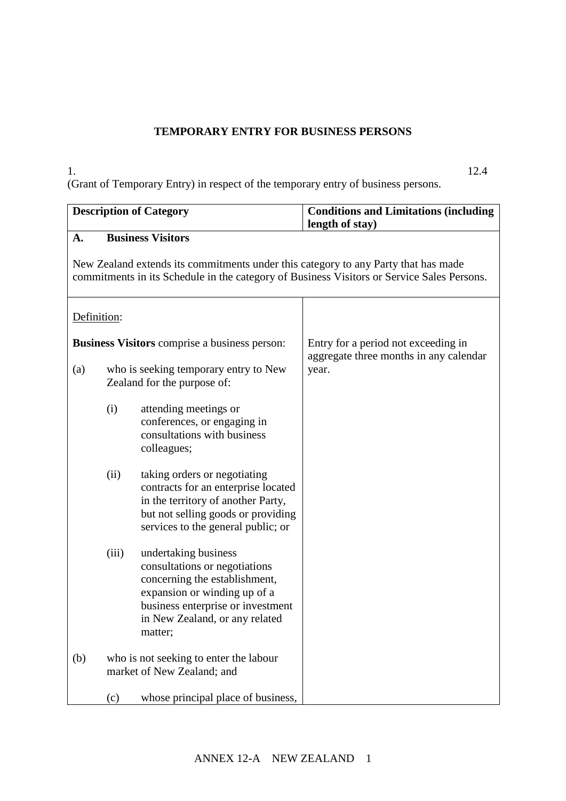## **TEMPORARY ENTRY FOR BUSINESS PERSONS**

1. The following sets out  $12.4$ 

(Grant of Temporary Entry) in respect of the temporary entry of business persons.

| <b>Description of Category</b>                                                                                                                                                   |       |                                                                                                                                                                                                          | <b>Conditions and Limitations (including</b><br>length of stay)               |
|----------------------------------------------------------------------------------------------------------------------------------------------------------------------------------|-------|----------------------------------------------------------------------------------------------------------------------------------------------------------------------------------------------------------|-------------------------------------------------------------------------------|
| A.                                                                                                                                                                               |       | <b>Business Visitors</b>                                                                                                                                                                                 |                                                                               |
| New Zealand extends its commitments under this category to any Party that has made<br>commitments in its Schedule in the category of Business Visitors or Service Sales Persons. |       |                                                                                                                                                                                                          |                                                                               |
| Definition:                                                                                                                                                                      |       |                                                                                                                                                                                                          |                                                                               |
| <b>Business Visitors</b> comprise a business person:                                                                                                                             |       |                                                                                                                                                                                                          | Entry for a period not exceeding in<br>aggregate three months in any calendar |
| (a)                                                                                                                                                                              |       | who is seeking temporary entry to New<br>Zealand for the purpose of:                                                                                                                                     | year.                                                                         |
|                                                                                                                                                                                  | (i)   | attending meetings or<br>conferences, or engaging in<br>consultations with business<br>colleagues;                                                                                                       |                                                                               |
|                                                                                                                                                                                  | (ii)  | taking orders or negotiating<br>contracts for an enterprise located<br>in the territory of another Party,<br>but not selling goods or providing<br>services to the general public; or                    |                                                                               |
|                                                                                                                                                                                  | (iii) | undertaking business<br>consultations or negotiations<br>concerning the establishment,<br>expansion or winding up of a<br>business enterprise or investment<br>in New Zealand, or any related<br>matter; |                                                                               |
| (b)                                                                                                                                                                              |       | who is not seeking to enter the labour<br>market of New Zealand; and                                                                                                                                     |                                                                               |
|                                                                                                                                                                                  | (c)   | whose principal place of business,                                                                                                                                                                       |                                                                               |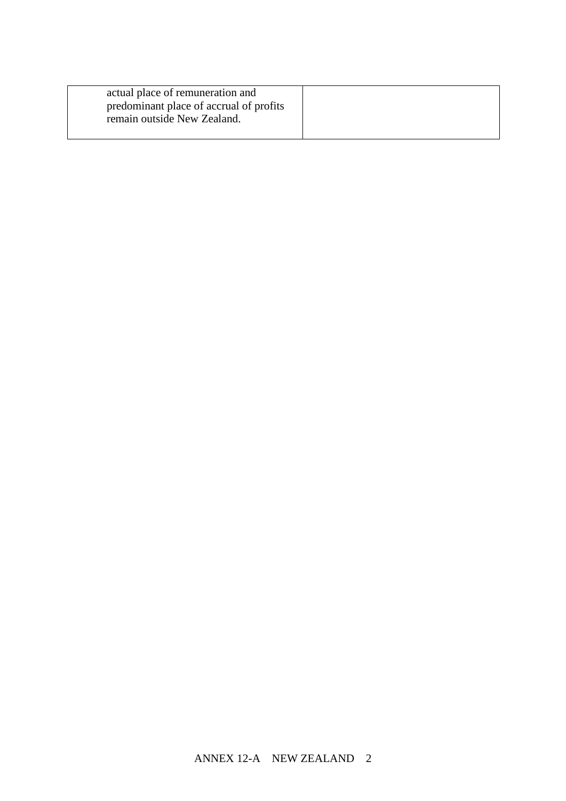| actual place of remuneration and<br>predominant place of accrual of profits<br>remain outside New Zealand. |  |
|------------------------------------------------------------------------------------------------------------|--|
|                                                                                                            |  |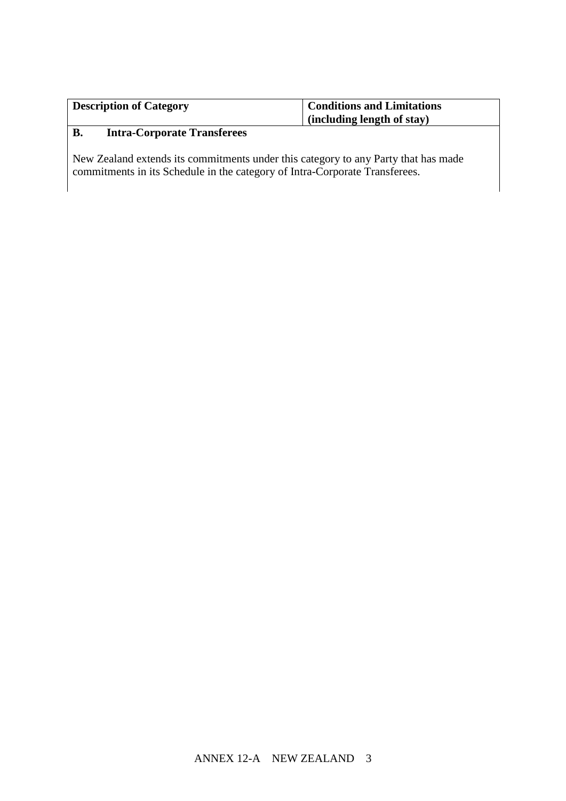| <b>Description of Category</b> |                                    | <sup>1</sup> Conditions and Limitations |
|--------------------------------|------------------------------------|-----------------------------------------|
|                                |                                    | (including length of stay)              |
| <b>B.</b>                      | <b>Intra-Corporate Transferees</b> |                                         |

New Zealand extends its commitments under this category to any Party that has made commitments in its Schedule in the category of Intra-Corporate Transferees.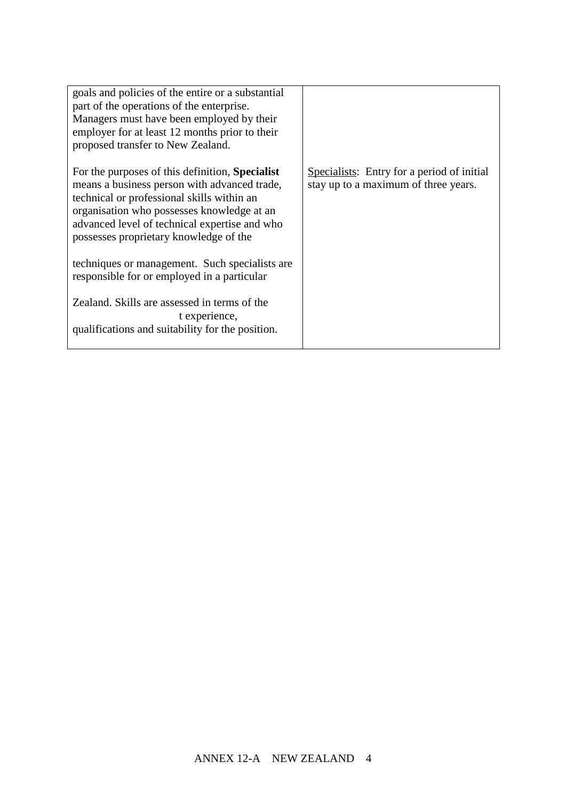| goals and policies of the entire or a substantial<br>part of the operations of the enterprise.<br>Managers must have been employed by their<br>employer for at least 12 months prior to their<br>proposed transfer to New Zealand.                                                            |                                                                                    |
|-----------------------------------------------------------------------------------------------------------------------------------------------------------------------------------------------------------------------------------------------------------------------------------------------|------------------------------------------------------------------------------------|
| For the purposes of this definition, <b>Specialist</b><br>means a business person with advanced trade,<br>technical or professional skills within an<br>organisation who possesses knowledge at an<br>advanced level of technical expertise and who<br>possesses proprietary knowledge of the | Specialists: Entry for a period of initial<br>stay up to a maximum of three years. |
| techniques or management. Such specialists are<br>responsible for or employed in a particular                                                                                                                                                                                                 |                                                                                    |
| Zealand. Skills are assessed in terms of the<br>t experience,<br>qualifications and suitability for the position.                                                                                                                                                                             |                                                                                    |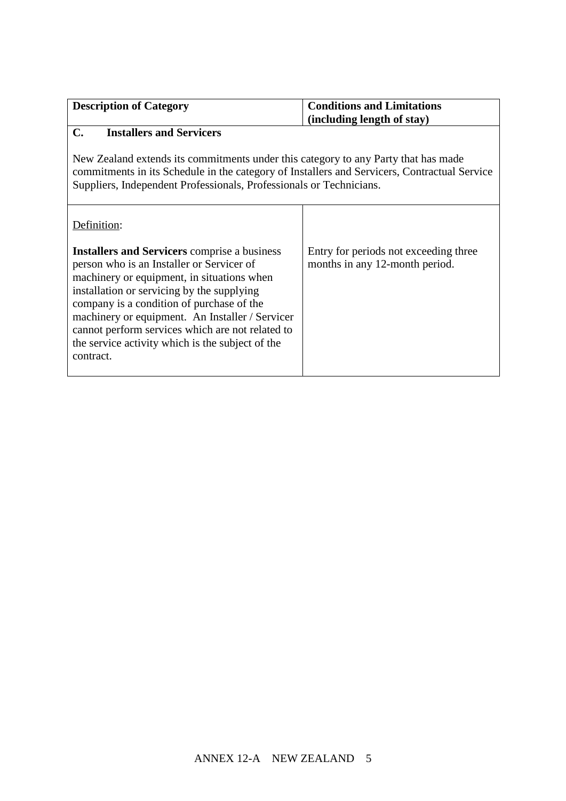| <b>Description of Category</b>                                                                                                                                                                                                                                                                                                                                                                                    | <b>Conditions and Limitations</b>                                       |  |
|-------------------------------------------------------------------------------------------------------------------------------------------------------------------------------------------------------------------------------------------------------------------------------------------------------------------------------------------------------------------------------------------------------------------|-------------------------------------------------------------------------|--|
|                                                                                                                                                                                                                                                                                                                                                                                                                   | (including length of stay)                                              |  |
| <b>Installers and Servicers</b><br>C.                                                                                                                                                                                                                                                                                                                                                                             |                                                                         |  |
| New Zealand extends its commitments under this category to any Party that has made<br>commitments in its Schedule in the category of Installers and Servicers, Contractual Service<br>Suppliers, Independent Professionals, Professionals or Technicians.                                                                                                                                                         |                                                                         |  |
| Definition:                                                                                                                                                                                                                                                                                                                                                                                                       |                                                                         |  |
| <b>Installers and Servicers</b> comprise a business<br>person who is an Installer or Servicer of<br>machinery or equipment, in situations when<br>installation or servicing by the supplying<br>company is a condition of purchase of the<br>machinery or equipment. An Installer / Servicer<br>cannot perform services which are not related to<br>the service activity which is the subject of the<br>contract. | Entry for periods not exceeding three<br>months in any 12-month period. |  |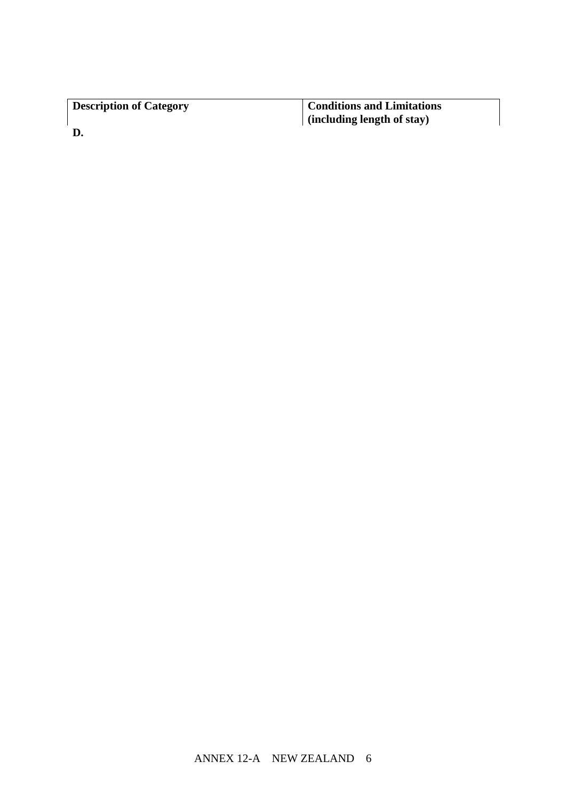| <b>Description of Category</b> | Conditions and Limitations        |
|--------------------------------|-----------------------------------|
|                                | $\int$ (including length of stay) |
|                                |                                   |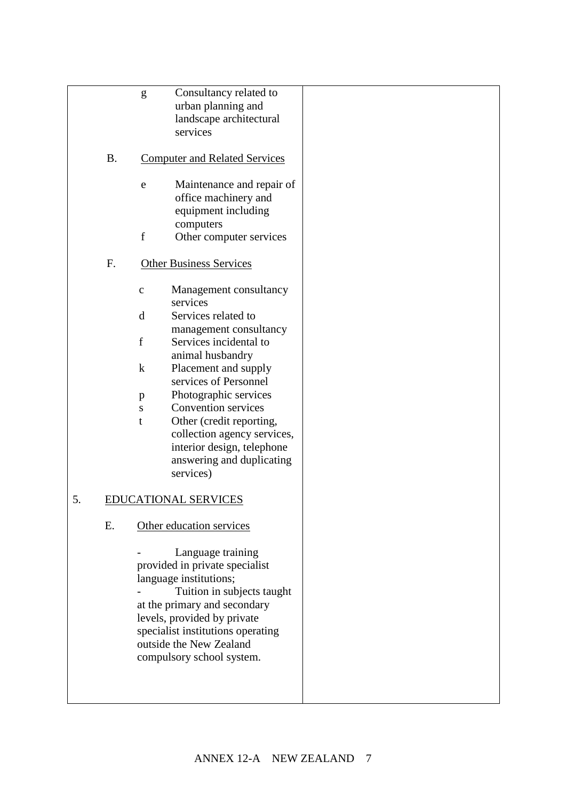|    |           | Consultancy related to<br>g<br>urban planning and<br>landscape architectural<br>services                                                                                                                                                                                                                                                                                                                                               |
|----|-----------|----------------------------------------------------------------------------------------------------------------------------------------------------------------------------------------------------------------------------------------------------------------------------------------------------------------------------------------------------------------------------------------------------------------------------------------|
|    | <b>B.</b> | <b>Computer and Related Services</b>                                                                                                                                                                                                                                                                                                                                                                                                   |
|    |           | Maintenance and repair of<br>e<br>office machinery and<br>equipment including<br>computers<br>$\mathbf f$<br>Other computer services                                                                                                                                                                                                                                                                                                   |
|    | F.        | <b>Other Business Services</b>                                                                                                                                                                                                                                                                                                                                                                                                         |
|    |           | Management consultancy<br>$\mathbf C$<br>services<br>Services related to<br>d<br>management consultancy<br>f<br>Services incidental to<br>animal husbandry<br>$\mathbf k$<br>Placement and supply<br>services of Personnel<br>Photographic services<br>p<br>Convention services<br>S<br>Other (credit reporting,<br>$\mathbf t$<br>collection agency services,<br>interior design, telephone<br>answering and duplicating<br>services) |
| 5. |           | <b>EDUCATIONAL SERVICES</b>                                                                                                                                                                                                                                                                                                                                                                                                            |
|    | Ε.        | Other education services<br>Language training<br>provided in private specialist<br>language institutions;<br>Tuition in subjects taught<br>at the primary and secondary<br>levels, provided by private<br>specialist institutions operating<br>outside the New Zealand<br>compulsory school system.                                                                                                                                    |